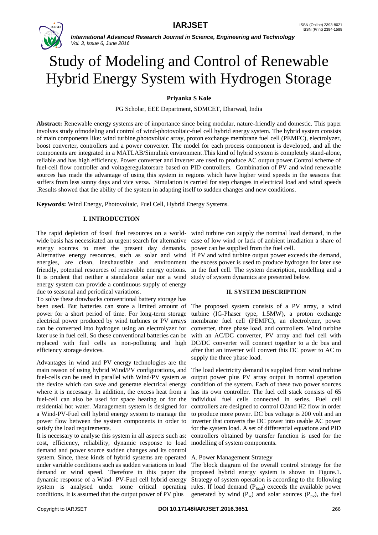

*International Advanced Research Journal in Science, Engineering and Technology Vol. 3, Issue 6, June 2016*

# Study of Modeling and Control of Renewable Hybrid Energy System with Hydrogen Storage

**Priyanka S Kole**

PG Scholar, EEE Department, SDMCET, Dharwad, India

**Abstract:** Renewable energy systems are of importance since being modular, nature-friendly and domestic. This paper involves study ofmodeling and control of wind-photovoltaic-fuel cell hybrid energy system. The hybrid system consists of main components like: wind turbine,photovoltaic array, proton exchange membrane fuel cell (PEMFC), electrolyzer, boost converter, controllers and a power converter. The model for each process component is developed, and all the components are integrated in a MATLAB/Simulink environment.This kind of hybrid system is completely stand-alone, reliable and has high efficiency. Power converter and inverter are used to produce AC output power.Control scheme of fuel-cell flow controller and voltageregulatorsare based on PID controllers. Combination of PV and wind renewable sources has made the advantage of using this system in regions which have higher wind speeds in the seasons that suffers from less sunny days and vice versa. Simulation is carried for step changes in electrical load and wind speeds .Results showed that the ability of the system in adapting itself to sudden changes and new conditions.

**Keywords:** Wind Energy, Photovoltaic, Fuel Cell, Hybrid Energy Systems.

# **I. INTRODUCTION**

The rapid depletion of fossil fuel resources on a world-wind turbine can supply the nominal load demand, in the wide basis has necessitated an urgent search for alternative case of low wind or lack of ambient irradiation a share of energy sources to meet the present day demands. power can be supplied from the fuel cell. Alternative energy resources, such as solar and wind If PV and wind turbine output power exceeds the demand, energies, are clean, inexhaustible and environment the excess power is used to produce hydrogen for later use friendly, potential resources of renewable energy options. in the fuel cell. The system description, modelling and a It is prudent that neither a standalone solar nor a wind study of system dynamics are presented below. energy system can provide a continuous supply of energy due to seasonal and periodical variations.

To solve these drawbacks conventional battery storage has been used. But batteries can store a limited amount of power for a short period of time. For long-term storage turbine (IG-Phaser type, 1.5MW), a proton exchange electrical power produced by wind turbines or PV arrays can be converted into hydrogen using an electrolyzer for later use in fuel cell. So these conventional batteries can be replaced with fuel cells as non-polluting and high efficiency storage devices.

Advantages in wind and PV energy technologies are the main reason of using hybrid Wind/PV configurations, and fuel-cells can be used in parallel with Wind/PV system as the device which can save and generate electrical energy where it is necessary. In addition, the excess heat from a fuel-cell can also be used for space heating or for the residential hot water. Management system is designed for a Wind-PV-Fuel cell hybrid energy system to manage the power flow between the system components in order to satisfy the load requirements.

It is necessary to analyse this system in all aspects such as: cost, efficiency, reliability, dynamic response to load demand and power source sudden changes and its control system. Since, these kinds of hybrid systems are operated under variable conditions such as sudden variations in load demand or wind speed. Therefore in this paper the dynamic response of a Wind- PV-Fuel cell hybrid energy system is analysed under some critical operating rules. If load demand (Pload) exceeds the available power conditions. It is assumed that the output power of PV plus

# **II. SYSTEM DESCRIPTION**

The proposed system consists of a PV array, a wind membrane fuel cell (PEMFC), an electrolyzer, power converter, three phase load, and controllers. Wind turbine with an AC/DC converter, PV array and fuel cell with DC/DC converter will connect together to a dc bus and after that an inverter will convert this DC power to AC to supply the three phase load.

The load electricity demand is supplied from wind turbine output power plus PV array output in normal operation condition of the system. Each of these two power sources has its own controller. The fuel cell stack consists of 65 individual fuel cells connected in series. Fuel cell controllers are designed to control O2and H2 flow in order to produce more power. DC bus voltage is 200 volt and an inverter that converts the DC power into usable AC power for the system load. A set of differential equations and PID controllers obtained by transfer function is used for the modelling of system components.

# A. Power Management Strategy

The block diagram of the overall control strategy for the proposed hybrid energy system is shown in Figure.1. Strategy of system operation is according to the following generated by wind  $(P_w)$  and solar sources  $(P_{pv})$ , the fuel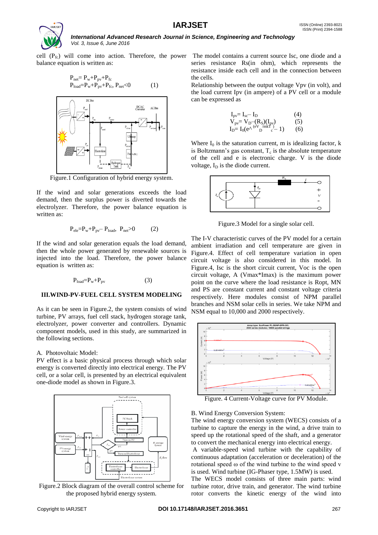

balance equation is written as:

$$
P_{net} = P_w + P_{pv} + P_{fc}
$$
  
\n
$$
P_{load} = P_w + P_{pv} + P_{fc}, P_{net} < 0
$$
 (1)



Figure.1 Configuration of hybrid energy system.

If the wind and solar generations exceeds the load demand, then the surplus power is diverted towards the electrolyzer. Therefore, the power balance equation is written as:

$$
P_{ele} = P_w + P_{pv} - P_{load}, \ P_{net} > 0 \tag{2}
$$

If the wind and solar generation equals the load demand, then the whole power generated by renewable sources is injected into the load. Therefore, the power balance equation is written as:

$$
P_{load} = P_w + P_{pv} \tag{3}
$$

#### **III.WIND-PV-FUEL CELL SYSTEM MODELING**

As it can be seen in Figure.2, the system consists of wind turbine, PV arrays, fuel cell stack, hydrogen storage tank, electrolyzer, power converter and controllers. Dynamic component models, used in this study, are summarized in the following sections.

#### A. Photovoltaic Model:

PV effect is a basic physical process through which solar energy is converted directly into electrical energy. The PV cell, or a solar cell, is presented by an electrical equivalent one-diode model as shown in Figure.3.



Figure.2 Block diagram of the overall control scheme for the proposed hybrid energy system.

cell  $(P_{fc})$  will come into action. Therefore, the power The model contains a current source Isc, one diode and a series resistance Rs(in ohm), which represents the resistance inside each cell and in the connection between the cells.

> Relationship between the output voltage Vpv (in volt), and the load current Ipv (in ampere) of a PV cell or a module can be expressed as

$$
\begin{array}{ll} I_{pv} = I_{sc} - I_{D} & (4) \\ V_{pv} = V_{D} - (R_{S})(I_{pv}) & (5) \\ I_{D} = I_{0}(e^{\Lambda \text{ (eV}}_{D} \text{ (mK)}^{N})_{c} - 1) & (6) \end{array}
$$

Where  $I_0$  is the saturation current, m is idealizing factor, k is Boltzmann's gas constant,  $T_c$  is the absolute temperature of the cell and e is electronic charge. V is the diode voltage,  $I_D$  is the diode current.



Figure.3 Model for a single solar cell.

The I-V characteristic curves of the PV model for a certain ambient irradiation and cell temperature are given in Figure.4. Effect of cell temperature variation in open circuit voltage is also considered in this model. In Figure.4, Isc is the short circuit current, Voc is the open circuit voltage, A (Vmax\*Imax) is the maximum power point on the curve where the load resistance is Ropt, MN and PS are constant current and constant voltage criteria respectively. Here modules consist of NPM parallel branches and NSM solar cells in series. We take NPM and NSM equal to 10,000 and 2000 respectively.



Figure. 4 Current-Voltage curve for PV Module.

### B. Wind Energy Conversion System:

The wind energy conversion system (WECS) consists of a turbine to capture the energy in the wind, a drive train to speed up the rotational speed of the shaft, and a generator to convert the mechanical energy into electrical energy.

A variable-speed wind turbine with the capability of continuous adaptation (acceleration or deceleration) of the rotational speed ω of the wind turbine to the wind speed v is used. Wind turbine (IG-Phaser type, 1.5MW) is used.

The WECS model consists of three main parts: wind turbine rotor, drive train, and generator. The wind turbine rotor converts the kinetic energy of the wind into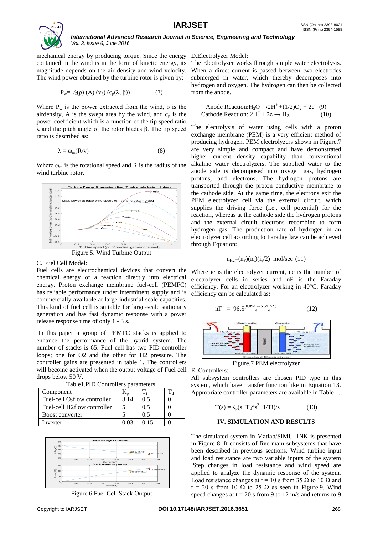

#### *International Advanced Research Journal in Science, Engineering and Technology Vol. 3, Issue 6, June 2016*

mechanical energy by producing torque. Since the energy D.Electrolyzer Model: contained in the wind is in the form of kinetic energy, its magnitude depends on the air density and wind velocity. The wind power obtained by the turbine rotor is given by:

$$
P_w = \frac{1}{2}(\rho) (A) (v_3) (c_p(\lambda, \beta))
$$
 (7)

Where  $P_w$  is the power extracted from the wind,  $\rho$  is the airdensity, A is the swept area by the wind, and  $c_p$  is the power coefficient which is a function of the tip speed ratio λ and the pitch angle of the rotor blades β. The tip speed ratio is described as:

$$
\lambda = \omega_{m}(R/v)
$$
 (8)

Where  $\omega_m$  is the rotational speed and R is the radius of the wind turbine rotor.



Figure 5. Wind Turbine Output

# C. Fuel Cell Model:

Fuel cells are electrochemical devices that convert the chemical energy of a reaction directly into electrical energy. Proton exchange membrane fuel-cell (PEMFC) has reliable performance under intermittent supply and is commercially available at large industrial scale capacities. This kind of fuel cell is suitable for large-scale stationary generation and has fast dynamic response with a power release response time of only 1 - 3 s.

In this paper a group of PEMFC stacks is applied to enhance the performance of the hybrid system. The number of stacks is 65. Fuel cell has two PID controller loops; one for O2 and the other for H2 pressure. The controller gains are presented in table 1. The controllers will become activated when the output voltage of Fuel cell drops below 50 V.

| Component                       |      |          |  |  |  |  |  |  |  |  |  |
|---------------------------------|------|----------|--|--|--|--|--|--|--|--|--|
| Fuel-cell $O_2$ flow controller | 3.14 |          |  |  |  |  |  |  |  |  |  |
| Fuel-cell H2flow controller     |      | 0.5      |  |  |  |  |  |  |  |  |  |
| Boost converter                 |      | $\cup$ 5 |  |  |  |  |  |  |  |  |  |
| Inverter                        |      |          |  |  |  |  |  |  |  |  |  |





Figure.6 Fuel Cell Stack Output

The Electrolyzer works through simple water electrolysis. When a direct current is passed between two electrodes submerged in water, which thereby decomposes into hydrogen and oxygen. The hydrogen can then be collected from the anode.

Anode Reaction:  $H_2O \rightarrow 2H^+ + (1/2)O_2 + 2e$  (9)<br>athode Reaction:  $2H^+ + 2e \rightarrow H_2$ . (10) Cathode Reaction:  $2H^+ + 2e \rightarrow H_2$ . (10)

The electrolysis of water using cells with a proton exchange membrane (PEM) is a very efficient method of producing hydrogen. PEM electrolyzers shown in Figure.7 are very simple and compact and have demonstrated higher current density capability than conventional alkaline water electrolyzers. The supplied water to the anode side is decomposed into oxygen gas, hydrogen protons, and electrons. The hydrogen protons are transported through the proton conductive membrane to the cathode side. At the same time, the electrons exit the PEM electrolyzer cell via the external circuit, which supplies the driving force (i.e., cell potential) for the reaction, whereas at the cathode side the hydrogen protons and the external circuit electrons recombine to form hydrogen gas. The production rate of hydrogen in an electrolyzer cell according to Faraday law can be achieved through Equation:

$$
n_{\text{H2}} = (n_{\text{F}})(n_{\text{c}})(i_{\text{e}}/2) \text{ mol/sec (11)}
$$

Where ie is the electrolyzer current, nc is the number of electrolyzer cells in series and nF is the Faraday efficiency. For an electrolyzer working in 40°C; Faraday efficiency can be calculated as:

$$
nF = 96.5^{(0.09/\text{i}} \cdot {}^{-75.5/\text{i}} \cdot {}^{02}) \tag{12}
$$



Figure.7 PEM electrolyzer

E. Controllers:

All subsystem controllers are chosen PID type in this system, which have transfer function like in Equation 13. Appropriate controller parameters are available in Table 1.

$$
T(s) = K_p(s + T_d * s^2 + 1/Ti)/s
$$
 (13)

# **IV. SIMULATION AND RESULTS**

The simulated system in Matlab/SIMULINK is presented in Figure 8. It consists of five main subsystems that have been described in previous sections. Wind turbine input and load resistance are two variable inputs of the system .Step changes in load resistance and wind speed are applied to analyze the dynamic response of the system. Load resistance changes at t = 10 s from 35  $\Omega$  to 10  $\Omega$  and  $t = 20$  s from 10  $\Omega$  to 25  $\Omega$  as seen in Figure.9. Wind speed changes at  $t = 20$  s from 9 to 12 m/s and returns to 9